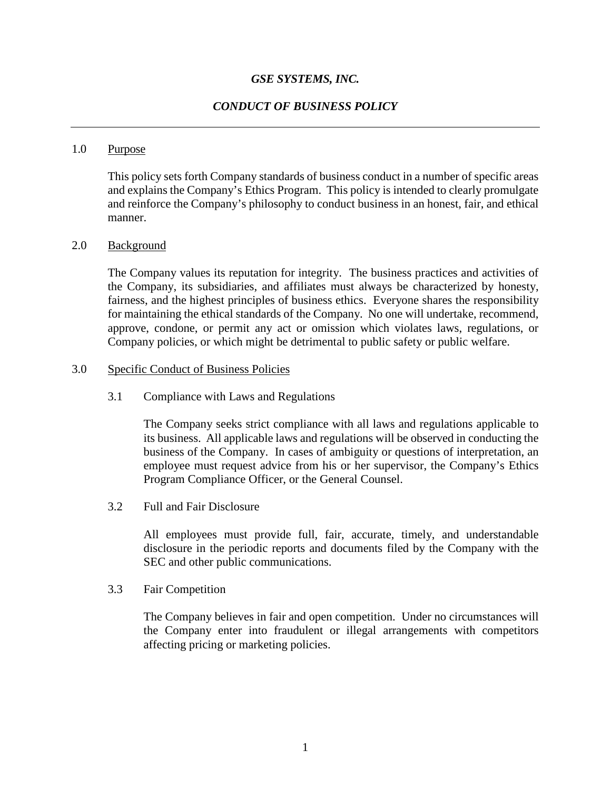## *GSE SYSTEMS, INC.*

## *CONDUCT OF BUSINESS POLICY*

### 1.0 Purpose

This policy sets forth Company standards of business conduct in a number of specific areas and explains the Company's Ethics Program. This policy is intended to clearly promulgate and reinforce the Company's philosophy to conduct business in an honest, fair, and ethical manner.

#### 2.0 Background

The Company values its reputation for integrity. The business practices and activities of the Company, its subsidiaries, and affiliates must always be characterized by honesty, fairness, and the highest principles of business ethics. Everyone shares the responsibility for maintaining the ethical standards of the Company. No one will undertake, recommend, approve, condone, or permit any act or omission which violates laws, regulations, or Company policies, or which might be detrimental to public safety or public welfare.

### 3.0 Specific Conduct of Business Policies

#### 3.1 Compliance with Laws and Regulations

The Company seeks strict compliance with all laws and regulations applicable to its business. All applicable laws and regulations will be observed in conducting the business of the Company. In cases of ambiguity or questions of interpretation, an employee must request advice from his or her supervisor, the Company's Ethics Program Compliance Officer, or the General Counsel.

3.2 Full and Fair Disclosure

All employees must provide full, fair, accurate, timely, and understandable disclosure in the periodic reports and documents filed by the Company with the SEC and other public communications.

3.3 Fair Competition

The Company believes in fair and open competition. Under no circumstances will the Company enter into fraudulent or illegal arrangements with competitors affecting pricing or marketing policies.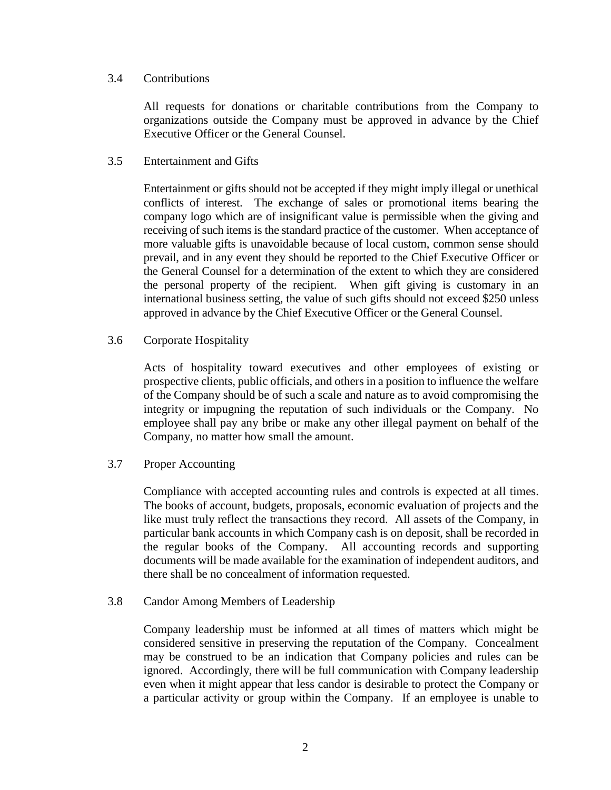### 3.4 Contributions

All requests for donations or charitable contributions from the Company to organizations outside the Company must be approved in advance by the Chief Executive Officer or the General Counsel.

## 3.5 Entertainment and Gifts

Entertainment or gifts should not be accepted if they might imply illegal or unethical conflicts of interest. The exchange of sales or promotional items bearing the company logo which are of insignificant value is permissible when the giving and receiving of such items is the standard practice of the customer. When acceptance of more valuable gifts is unavoidable because of local custom, common sense should prevail, and in any event they should be reported to the Chief Executive Officer or the General Counsel for a determination of the extent to which they are considered the personal property of the recipient. When gift giving is customary in an international business setting, the value of such gifts should not exceed \$250 unless approved in advance by the Chief Executive Officer or the General Counsel.

# 3.6 Corporate Hospitality

Acts of hospitality toward executives and other employees of existing or prospective clients, public officials, and others in a position to influence the welfare of the Company should be of such a scale and nature as to avoid compromising the integrity or impugning the reputation of such individuals or the Company. No employee shall pay any bribe or make any other illegal payment on behalf of the Company, no matter how small the amount.

## 3.7 Proper Accounting

Compliance with accepted accounting rules and controls is expected at all times. The books of account, budgets, proposals, economic evaluation of projects and the like must truly reflect the transactions they record. All assets of the Company, in particular bank accounts in which Company cash is on deposit, shall be recorded in the regular books of the Company. All accounting records and supporting documents will be made available for the examination of independent auditors, and there shall be no concealment of information requested.

## 3.8 Candor Among Members of Leadership

Company leadership must be informed at all times of matters which might be considered sensitive in preserving the reputation of the Company. Concealment may be construed to be an indication that Company policies and rules can be ignored. Accordingly, there will be full communication with Company leadership even when it might appear that less candor is desirable to protect the Company or a particular activity or group within the Company. If an employee is unable to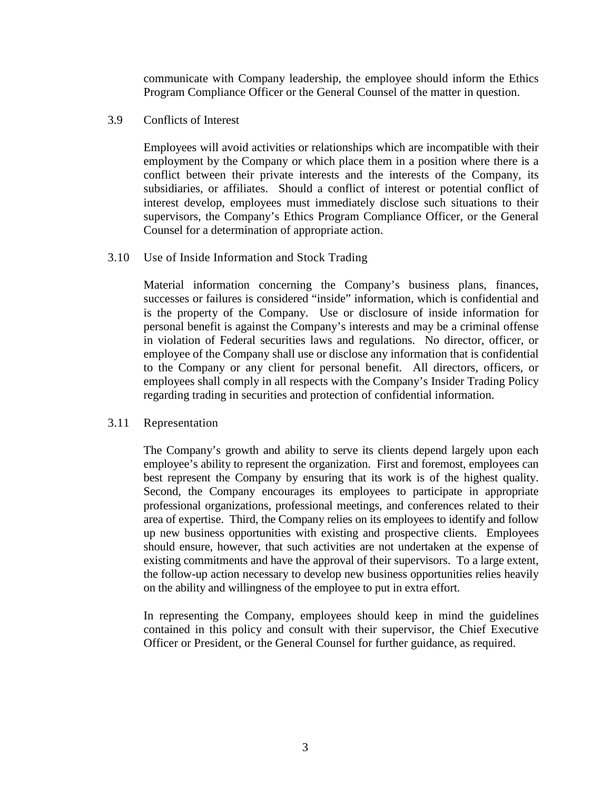communicate with Company leadership, the employee should inform the Ethics Program Compliance Officer or the General Counsel of the matter in question.

3.9 Conflicts of Interest

Employees will avoid activities or relationships which are incompatible with their employment by the Company or which place them in a position where there is a conflict between their private interests and the interests of the Company, its subsidiaries, or affiliates. Should a conflict of interest or potential conflict of interest develop, employees must immediately disclose such situations to their supervisors, the Company's Ethics Program Compliance Officer, or the General Counsel for a determination of appropriate action.

3.10 Use of Inside Information and Stock Trading

Material information concerning the Company's business plans, finances, successes or failures is considered "inside" information, which is confidential and is the property of the Company. Use or disclosure of inside information for personal benefit is against the Company's interests and may be a criminal offense in violation of Federal securities laws and regulations. No director, officer, or employee of the Company shall use or disclose any information that is confidential to the Company or any client for personal benefit. All directors, officers, or employees shall comply in all respects with the Company's Insider Trading Policy regarding trading in securities and protection of confidential information.

#### 3.11 Representation

The Company's growth and ability to serve its clients depend largely upon each employee's ability to represent the organization. First and foremost, employees can best represent the Company by ensuring that its work is of the highest quality. Second, the Company encourages its employees to participate in appropriate professional organizations, professional meetings, and conferences related to their area of expertise. Third, the Company relies on its employees to identify and follow up new business opportunities with existing and prospective clients. Employees should ensure, however, that such activities are not undertaken at the expense of existing commitments and have the approval of their supervisors. To a large extent, the follow-up action necessary to develop new business opportunities relies heavily on the ability and willingness of the employee to put in extra effort.

In representing the Company, employees should keep in mind the guidelines contained in this policy and consult with their supervisor, the Chief Executive Officer or President, or the General Counsel for further guidance, as required.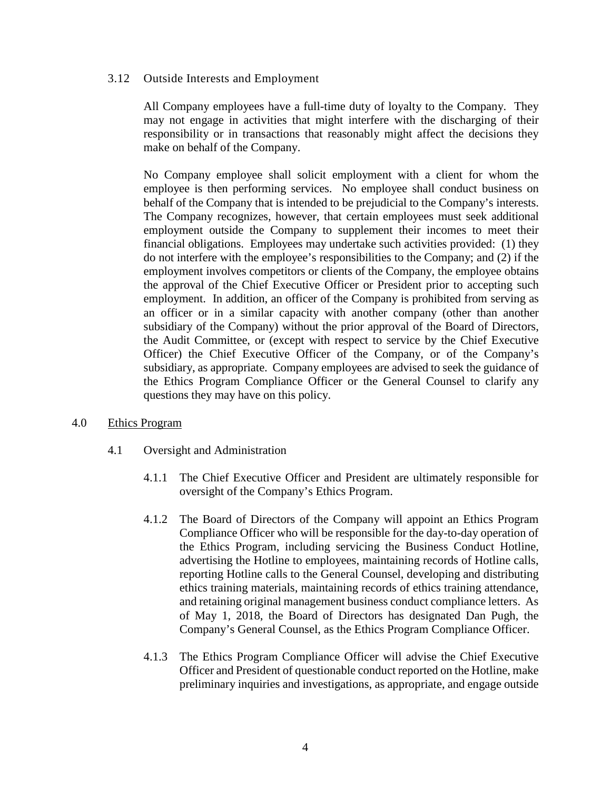## 3.12 Outside Interests and Employment

All Company employees have a full-time duty of loyalty to the Company. They may not engage in activities that might interfere with the discharging of their responsibility or in transactions that reasonably might affect the decisions they make on behalf of the Company.

No Company employee shall solicit employment with a client for whom the employee is then performing services. No employee shall conduct business on behalf of the Company that is intended to be prejudicial to the Company's interests. The Company recognizes, however, that certain employees must seek additional employment outside the Company to supplement their incomes to meet their financial obligations. Employees may undertake such activities provided: (1) they do not interfere with the employee's responsibilities to the Company; and (2) if the employment involves competitors or clients of the Company, the employee obtains the approval of the Chief Executive Officer or President prior to accepting such employment. In addition, an officer of the Company is prohibited from serving as an officer or in a similar capacity with another company (other than another subsidiary of the Company) without the prior approval of the Board of Directors, the Audit Committee, or (except with respect to service by the Chief Executive Officer) the Chief Executive Officer of the Company, or of the Company's subsidiary, as appropriate. Company employees are advised to seek the guidance of the Ethics Program Compliance Officer or the General Counsel to clarify any questions they may have on this policy.

## 4.0 Ethics Program

- 4.1 Oversight and Administration
	- 4.1.1 The Chief Executive Officer and President are ultimately responsible for oversight of the Company's Ethics Program.
	- 4.1.2 The Board of Directors of the Company will appoint an Ethics Program Compliance Officer who will be responsible for the day-to-day operation of the Ethics Program, including servicing the Business Conduct Hotline, advertising the Hotline to employees, maintaining records of Hotline calls, reporting Hotline calls to the General Counsel, developing and distributing ethics training materials, maintaining records of ethics training attendance, and retaining original management business conduct compliance letters. As of May 1, 2018, the Board of Directors has designated Dan Pugh, the Company's General Counsel, as the Ethics Program Compliance Officer.
	- 4.1.3 The Ethics Program Compliance Officer will advise the Chief Executive Officer and President of questionable conduct reported on the Hotline, make preliminary inquiries and investigations, as appropriate, and engage outside